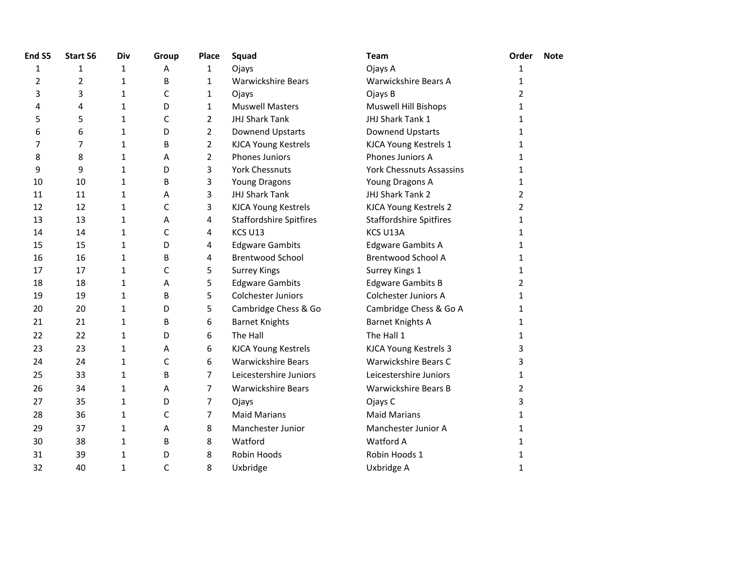| End S5         | <b>Start S6</b> | Div          | Group | Place          | Squad                          | <b>Team</b>                     | Order          | <b>Note</b> |
|----------------|-----------------|--------------|-------|----------------|--------------------------------|---------------------------------|----------------|-------------|
| $\mathbf{1}$   | $\mathbf{1}$    | 1            | Α     | 1              | Ojays                          | Ojays A                         | 1              |             |
| $\overline{2}$ | $\overline{2}$  | 1            | B     | $\mathbf{1}$   | <b>Warwickshire Bears</b>      | Warwickshire Bears A            | 1              |             |
| 3              | 3               | $\mathbf{1}$ | C     | 1              | Ojays                          | Ojays B                         | 2              |             |
| 4              | 4               | $\mathbf{1}$ | D     | $\mathbf{1}$   | <b>Muswell Masters</b>         | Muswell Hill Bishops            | 1              |             |
| 5              | 5               | 1            | C     | $\overline{2}$ | <b>JHJ Shark Tank</b>          | JHJ Shark Tank 1                | 1              |             |
| 6              | 6               | $\mathbf{1}$ | D     | $\overline{2}$ | Downend Upstarts               | Downend Upstarts                | $\mathbf 1$    |             |
| 7              | 7               | $\mathbf{1}$ | B     | $\overline{2}$ | <b>KJCA Young Kestrels</b>     | KJCA Young Kestrels 1           | 1              |             |
| 8              | 8               | $\mathbf{1}$ | А     | $\overline{2}$ | <b>Phones Juniors</b>          | Phones Juniors A                | 1              |             |
| 9              | 9               | $\mathbf{1}$ | D     | 3              | <b>York Chessnuts</b>          | <b>York Chessnuts Assassins</b> | 1              |             |
| 10             | 10              | 1            | B     | 3              | <b>Young Dragons</b>           | Young Dragons A                 | 1              |             |
| 11             | 11              | 1            | А     | 3              | JHJ Shark Tank                 | JHJ Shark Tank 2                | 2              |             |
| 12             | 12              | 1            | C     | 3              | <b>KJCA Young Kestrels</b>     | KJCA Young Kestrels 2           | $\overline{2}$ |             |
| 13             | 13              | $\mathbf{1}$ | А     | 4              | <b>Staffordshire Spitfires</b> | <b>Staffordshire Spitfires</b>  | 1              |             |
| 14             | 14              | $\mathbf{1}$ | C     | 4              | KCS U13                        | KCS U13A                        | 1              |             |
| 15             | 15              | $\mathbf{1}$ | D     | 4              | <b>Edgware Gambits</b>         | <b>Edgware Gambits A</b>        | 1              |             |
| 16             | 16              | $\mathbf{1}$ | B     | 4              | <b>Brentwood School</b>        | <b>Brentwood School A</b>       | 1              |             |
| 17             | 17              | $\mathbf{1}$ | C     | 5              | <b>Surrey Kings</b>            | Surrey Kings 1                  | 1              |             |
| 18             | 18              | 1            | А     | 5              | <b>Edgware Gambits</b>         | <b>Edgware Gambits B</b>        | $\overline{2}$ |             |
| 19             | 19              | $\mathbf{1}$ | B     | 5              | <b>Colchester Juniors</b>      | <b>Colchester Juniors A</b>     | 1              |             |
| 20             | 20              | 1            | D     | 5              | Cambridge Chess & Go           | Cambridge Chess & Go A          | 1              |             |
| 21             | 21              | 1            | B     | 6              | <b>Barnet Knights</b>          | <b>Barnet Knights A</b>         | 1              |             |
| 22             | 22              | 1            | D     | 6              | The Hall                       | The Hall 1                      | 1              |             |
| 23             | 23              | 1            | А     | 6              | <b>KJCA Young Kestrels</b>     | KJCA Young Kestrels 3           | 3              |             |
| 24             | 24              | 1            | C     | 6              | <b>Warwickshire Bears</b>      | Warwickshire Bears C            | 3              |             |
| 25             | 33              | $\mathbf{1}$ | B     | $\overline{7}$ | Leicestershire Juniors         | Leicestershire Juniors          | 1              |             |
| 26             | 34              | $\mathbf{1}$ | А     | $\overline{7}$ | <b>Warwickshire Bears</b>      | Warwickshire Bears B            | 2              |             |
| 27             | 35              | 1            | D     | 7              | Ojays                          | Ojays C                         | 3              |             |
| 28             | 36              | 1            | C     | 7              | <b>Maid Marians</b>            | <b>Maid Marians</b>             | 1              |             |
| 29             | 37              | $\mathbf{1}$ | А     | 8              | Manchester Junior              | Manchester Junior A             | 1              |             |
| 30             | 38              | 1            | B     | 8              | Watford                        | Watford A                       | 1              |             |
| 31             | 39              | $\mathbf{1}$ | D     | 8              | Robin Hoods                    | Robin Hoods 1                   | 1              |             |
| 32             | 40              | $\mathbf{1}$ | C     | 8              | Uxbridge                       | Uxbridge A                      | $\mathbf{1}$   |             |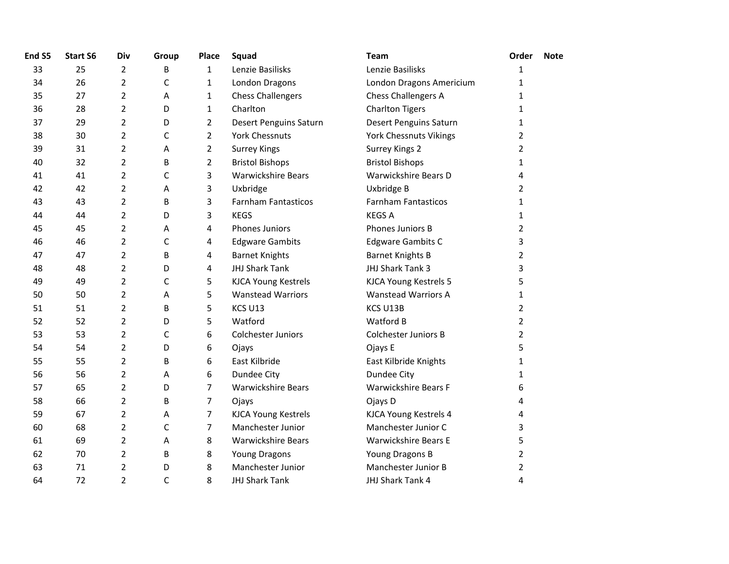| End S5 | <b>Start S6</b> | Div            | Group        | <b>Place</b>   | Squad                      | <b>Team</b>                   | Order          | <b>Note</b> |
|--------|-----------------|----------------|--------------|----------------|----------------------------|-------------------------------|----------------|-------------|
| 33     | 25              | 2              | В            | $\mathbf{1}$   | Lenzie Basilisks           | Lenzie Basilisks              | 1              |             |
| 34     | 26              | $\overline{2}$ | $\mathsf C$  | $\mathbf{1}$   | London Dragons             | London Dragons Americium      | 1              |             |
| 35     | 27              | $\overline{2}$ | A            | $\mathbf{1}$   | <b>Chess Challengers</b>   | Chess Challengers A           | 1              |             |
| 36     | 28              | $\overline{2}$ | D            | $\mathbf{1}$   | Charlton                   | <b>Charlton Tigers</b>        | 1              |             |
| 37     | 29              | $\overline{2}$ | D            | $\overline{2}$ | Desert Penguins Saturn     | <b>Desert Penguins Saturn</b> | 1              |             |
| 38     | 30              | $\overline{2}$ | $\mathsf{C}$ | $\overline{2}$ | <b>York Chessnuts</b>      | York Chessnuts Vikings        | 2              |             |
| 39     | 31              | $\overline{2}$ | Α            | $\overline{2}$ | <b>Surrey Kings</b>        | Surrey Kings 2                | $\overline{2}$ |             |
| 40     | 32              | $\overline{2}$ | B            | $\overline{2}$ | <b>Bristol Bishops</b>     | <b>Bristol Bishops</b>        | 1              |             |
| 41     | 41              | $\overline{2}$ | $\mathsf{C}$ | 3              | <b>Warwickshire Bears</b>  | Warwickshire Bears D          | 4              |             |
| 42     | 42              | $\overline{2}$ | Α            | 3              | Uxbridge                   | Uxbridge B                    | 2              |             |
| 43     | 43              | $\overline{2}$ | В            | 3              | <b>Farnham Fantasticos</b> | <b>Farnham Fantasticos</b>    | 1              |             |
| 44     | 44              | $\overline{2}$ | D            | 3              | <b>KEGS</b>                | <b>KEGS A</b>                 | 1              |             |
| 45     | 45              | $\overline{2}$ | Α            | 4              | <b>Phones Juniors</b>      | Phones Juniors B              | $\overline{2}$ |             |
| 46     | 46              | $\overline{2}$ | $\mathsf C$  | 4              | <b>Edgware Gambits</b>     | <b>Edgware Gambits C</b>      | 3              |             |
| 47     | 47              | $\overline{2}$ | B            | 4              | <b>Barnet Knights</b>      | <b>Barnet Knights B</b>       | $\overline{2}$ |             |
| 48     | 48              | $\overline{2}$ | D            | 4              | JHJ Shark Tank             | JHJ Shark Tank 3              | 3              |             |
| 49     | 49              | $\overline{2}$ | $\mathsf{C}$ | 5              | <b>KJCA Young Kestrels</b> | KJCA Young Kestrels 5         | 5              |             |
| 50     | 50              | $\overline{2}$ | Α            | 5              | <b>Wanstead Warriors</b>   | <b>Wanstead Warriors A</b>    | 1              |             |
| 51     | 51              | $\overline{2}$ | B            | 5              | KCS U13                    | KCS U13B                      | $\overline{2}$ |             |
| 52     | 52              | $\overline{2}$ | D            | 5              | Watford                    | Watford B                     | $\overline{2}$ |             |
| 53     | 53              | $\overline{2}$ | $\mathsf{C}$ | 6              | Colchester Juniors         | <b>Colchester Juniors B</b>   | $\overline{2}$ |             |
| 54     | 54              | $\overline{2}$ | D            | 6              | Ojays                      | Ojays E                       | 5              |             |
| 55     | 55              | $\overline{2}$ | B            | 6              | East Kilbride              | East Kilbride Knights         | 1              |             |
| 56     | 56              | $\overline{2}$ | Α            | 6              | Dundee City                | Dundee City                   | 1              |             |
| 57     | 65              | $\overline{2}$ | D            | $\overline{7}$ | <b>Warwickshire Bears</b>  | <b>Warwickshire Bears F</b>   | 6              |             |
| 58     | 66              | $\overline{2}$ | B            | $\overline{7}$ | Ojays                      | Ojays D                       | 4              |             |
| 59     | 67              | $\overline{2}$ | Α            | $\overline{7}$ | <b>KJCA Young Kestrels</b> | KJCA Young Kestrels 4         | 4              |             |
| 60     | 68              | $\overline{2}$ | $\mathsf C$  | $\overline{7}$ | Manchester Junior          | Manchester Junior C           | 3              |             |
| 61     | 69              | $\overline{2}$ | Α            | 8              | <b>Warwickshire Bears</b>  | Warwickshire Bears E          | 5              |             |
| 62     | 70              | $\overline{2}$ | B            | 8              | <b>Young Dragons</b>       | Young Dragons B               | $\overline{2}$ |             |
| 63     | 71              | $\overline{2}$ | D            | 8              | Manchester Junior          | Manchester Junior B           | $\overline{2}$ |             |
| 64     | 72              | 2              | C            | 8              | <b>JHJ Shark Tank</b>      | JHJ Shark Tank 4              | 4              |             |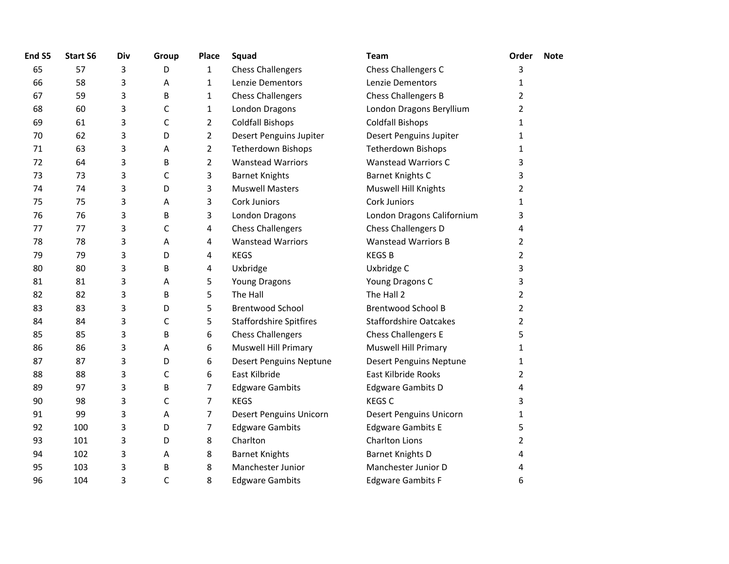| End S5 | <b>Start S6</b> | Div | Group | Place          | Squad                          | Team                           | Order          | <b>Note</b> |
|--------|-----------------|-----|-------|----------------|--------------------------------|--------------------------------|----------------|-------------|
| 65     | 57              | 3   | D     | $\mathbf{1}$   | <b>Chess Challengers</b>       | Chess Challengers C            | 3              |             |
| 66     | 58              | 3   | А     | $\mathbf{1}$   | Lenzie Dementors               | Lenzie Dementors               | 1              |             |
| 67     | 59              | 3   | В     | 1              | <b>Chess Challengers</b>       | Chess Challengers B            | 2              |             |
| 68     | 60              | 3   | C     | $\mathbf{1}$   | London Dragons                 | London Dragons Beryllium       | $\overline{2}$ |             |
| 69     | 61              | 3   | C     | $\overline{2}$ | <b>Coldfall Bishops</b>        | <b>Coldfall Bishops</b>        | $\mathbf{1}$   |             |
| 70     | 62              | 3   | D     | $\overline{2}$ | Desert Penguins Jupiter        | Desert Penguins Jupiter        | 1              |             |
| 71     | 63              | 3   | Α     | $\overline{2}$ | <b>Tetherdown Bishops</b>      | <b>Tetherdown Bishops</b>      | $\mathbf{1}$   |             |
| 72     | 64              | 3   | B     | $\overline{2}$ | <b>Wanstead Warriors</b>       | <b>Wanstead Warriors C</b>     | 3              |             |
| 73     | 73              | 3   | C     | 3              | <b>Barnet Knights</b>          | Barnet Knights C               | 3              |             |
| 74     | 74              | 3   | D     | 3              | <b>Muswell Masters</b>         | Muswell Hill Knights           | 2              |             |
| 75     | 75              | 3   | Α     | 3              | Cork Juniors                   | <b>Cork Juniors</b>            | $\mathbf{1}$   |             |
| 76     | 76              | 3   | B     | 3              | London Dragons                 | London Dragons Californium     | 3              |             |
| 77     | 77              | 3   | C     | 4              | <b>Chess Challengers</b>       | Chess Challengers D            | 4              |             |
| 78     | 78              | 3   | Α     | 4              | <b>Wanstead Warriors</b>       | <b>Wanstead Warriors B</b>     | 2              |             |
| 79     | 79              | 3   | D     | 4              | <b>KEGS</b>                    | <b>KEGSB</b>                   | 2              |             |
| 80     | 80              | 3   | B     | 4              | Uxbridge                       | Uxbridge C                     | 3              |             |
| 81     | 81              | 3   | Α     | 5              | <b>Young Dragons</b>           | Young Dragons C                | 3              |             |
| 82     | 82              | 3   | B     | 5              | The Hall                       | The Hall 2                     | $\overline{2}$ |             |
| 83     | 83              | 3   | D     | 5              | <b>Brentwood School</b>        | <b>Brentwood School B</b>      | $\overline{2}$ |             |
| 84     | 84              | 3   | C     | 5              | <b>Staffordshire Spitfires</b> | <b>Staffordshire Oatcakes</b>  | $\overline{2}$ |             |
| 85     | 85              | 3   | B     | 6              | <b>Chess Challengers</b>       | Chess Challengers E            | 5              |             |
| 86     | 86              | 3   | A     | 6              | <b>Muswell Hill Primary</b>    | <b>Muswell Hill Primary</b>    | 1              |             |
| 87     | 87              | 3   | D     | 6              | <b>Desert Penguins Neptune</b> | <b>Desert Penguins Neptune</b> | 1              |             |
| 88     | 88              | 3   | C     | 6              | East Kilbride                  | East Kilbride Rooks            | 2              |             |
| 89     | 97              | 3   | В     | 7              | <b>Edgware Gambits</b>         | <b>Edgware Gambits D</b>       | 4              |             |
| 90     | 98              | 3   | C     | $\overline{7}$ | <b>KEGS</b>                    | <b>KEGS C</b>                  | 3              |             |
| 91     | 99              | 3   | А     | 7              | Desert Penguins Unicorn        | Desert Penguins Unicorn        | 1              |             |
| 92     | 100             | 3   | D     | 7              | <b>Edgware Gambits</b>         | <b>Edgware Gambits E</b>       | 5              |             |
| 93     | 101             | 3   | D     | 8              | Charlton                       | <b>Charlton Lions</b>          | $\overline{2}$ |             |
| 94     | 102             | 3   | А     | 8              | <b>Barnet Knights</b>          | <b>Barnet Knights D</b>        | 4              |             |
| 95     | 103             | 3   | В     | 8              | Manchester Junior              | Manchester Junior D            | 4              |             |
| 96     | 104             | 3   | C     | 8              | <b>Edgware Gambits</b>         | <b>Edgware Gambits F</b>       | 6              |             |